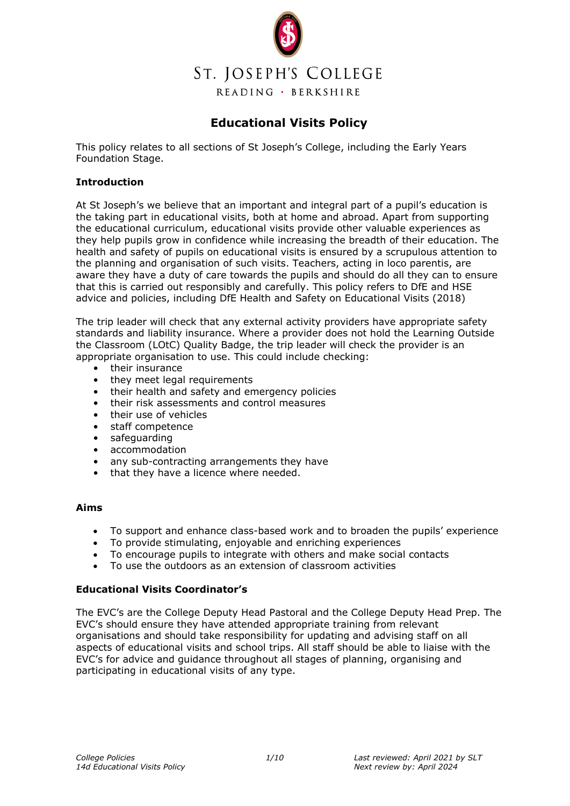

## **Educational Visits Policy**

This policy relates to all sections of St Joseph's College, including the Early Years Foundation Stage.

#### **Introduction**

At St Joseph's we believe that an important and integral part of a pupil's education is the taking part in educational visits, both at home and abroad. Apart from supporting the educational curriculum, educational visits provide other valuable experiences as they help pupils grow in confidence while increasing the breadth of their education. The health and safety of pupils on educational visits is ensured by a scrupulous attention to the planning and organisation of such visits. Teachers, acting in loco parentis, are aware they have a duty of care towards the pupils and should do all they can to ensure that this is carried out responsibly and carefully. This policy refers to DfE and HSE advice and policies, including DfE Health and Safety on Educational Visits (2018)

The trip leader will check that any external activity providers have appropriate safety standards and liability insurance. Where a provider does not hold the Learning Outside the Classroom (LOtC) Quality Badge, the trip leader will check the provider is an appropriate organisation to use. This could include checking:

- their insurance
- they meet legal requirements
- their health and safety and emergency policies
- their risk assessments and control measures
- their use of vehicles
- staff competence
- safeguarding
- accommodation
- any sub-contracting arrangements they have
- that they have a licence where needed.

#### **Aims**

- To support and enhance class-based work and to broaden the pupils' experience
- To provide stimulating, enjoyable and enriching experiences
- To encourage pupils to integrate with others and make social contacts
- To use the outdoors as an extension of classroom activities

#### **Educational Visits Coordinator's**

The EVC's are the College Deputy Head Pastoral and the College Deputy Head Prep. The EVC's should ensure they have attended appropriate training from relevant organisations and should take responsibility for updating and advising staff on all aspects of educational visits and school trips. All staff should be able to liaise with the EVC's for advice and guidance throughout all stages of planning, organising and participating in educational visits of any type.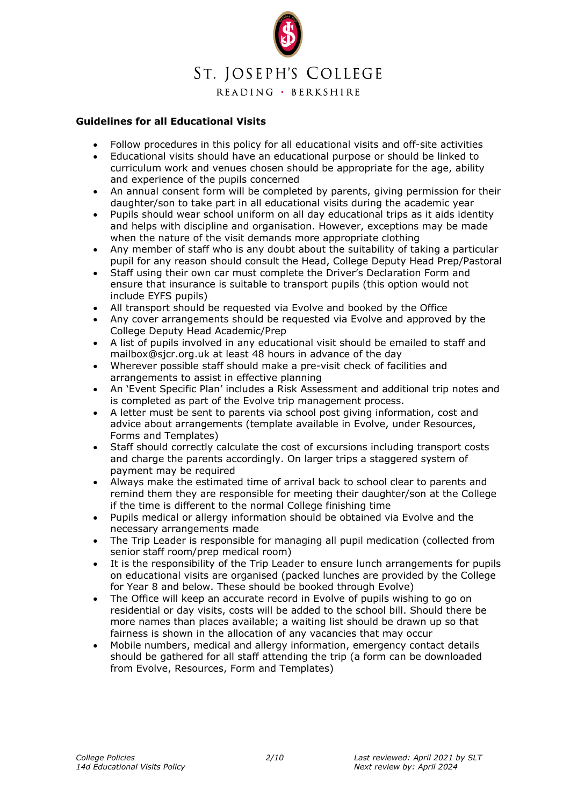

#### **Guidelines for all Educational Visits**

- Follow procedures in this policy for all educational visits and off-site activities
- Educational visits should have an educational purpose or should be linked to curriculum work and venues chosen should be appropriate for the age, ability and experience of the pupils concerned
- An annual consent form will be completed by parents, giving permission for their daughter/son to take part in all educational visits during the academic year
- Pupils should wear school uniform on all day educational trips as it aids identity and helps with discipline and organisation. However, exceptions may be made when the nature of the visit demands more appropriate clothing
- Any member of staff who is any doubt about the suitability of taking a particular pupil for any reason should consult the Head, College Deputy Head Prep/Pastoral
- Staff using their own car must complete the Driver's Declaration Form and ensure that insurance is suitable to transport pupils (this option would not include EYFS pupils)
- All transport should be requested via Evolve and booked by the Office
- Any cover arrangements should be requested via Evolve and approved by the College Deputy Head Academic/Prep
- A list of pupils involved in any educational visit should be emailed to staff and mailbox@sjcr.org.uk at least 48 hours in advance of the day
- Wherever possible staff should make a pre-visit check of facilities and arrangements to assist in effective planning
- An 'Event Specific Plan' includes a Risk Assessment and additional trip notes and is completed as part of the Evolve trip management process.
- A letter must be sent to parents via school post giving information, cost and advice about arrangements (template available in Evolve, under Resources, Forms and Templates)
- Staff should correctly calculate the cost of excursions including transport costs and charge the parents accordingly. On larger trips a staggered system of payment may be required
- Always make the estimated time of arrival back to school clear to parents and remind them they are responsible for meeting their daughter/son at the College if the time is different to the normal College finishing time
- Pupils medical or allergy information should be obtained via Evolve and the necessary arrangements made
- The Trip Leader is responsible for managing all pupil medication (collected from senior staff room/prep medical room)
- It is the responsibility of the Trip Leader to ensure lunch arrangements for pupils on educational visits are organised (packed lunches are provided by the College for Year 8 and below. These should be booked through Evolve)
- The Office will keep an accurate record in Evolve of pupils wishing to go on residential or day visits, costs will be added to the school bill. Should there be more names than places available; a waiting list should be drawn up so that fairness is shown in the allocation of any vacancies that may occur
- Mobile numbers, medical and allergy information, emergency contact details should be gathered for all staff attending the trip (a form can be downloaded from Evolve, Resources, Form and Templates)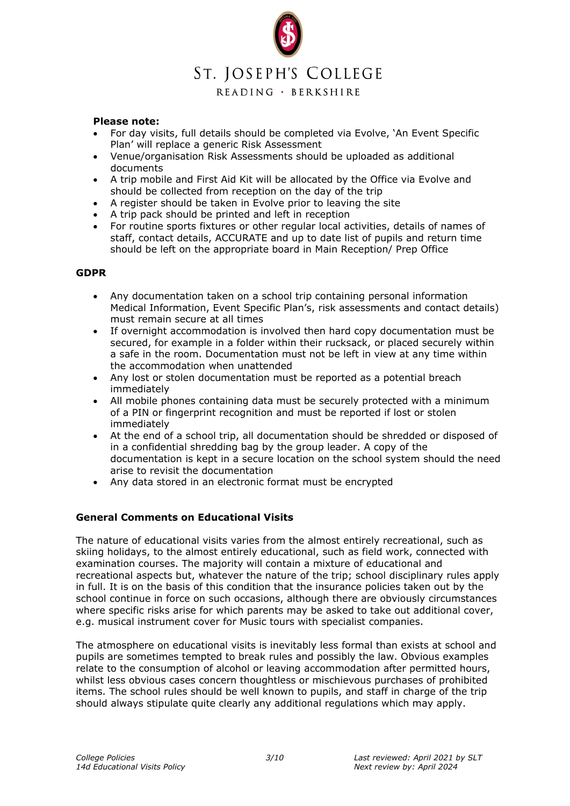# ST. JOSEPH'S COLLEGE

READING · BERKSHIRE

#### **Please note:**

- For day visits, full details should be completed via Evolve, 'An Event Specific Plan' will replace a generic Risk Assessment
- Venue/organisation Risk Assessments should be uploaded as additional documents
- A trip mobile and First Aid Kit will be allocated by the Office via Evolve and should be collected from reception on the day of the trip
- A register should be taken in Evolve prior to leaving the site
- A trip pack should be printed and left in reception
- For routine sports fixtures or other regular local activities, details of names of staff, contact details, ACCURATE and up to date list of pupils and return time should be left on the appropriate board in Main Reception/ Prep Office

#### **GDPR**

- Any documentation taken on a school trip containing personal information Medical Information, Event Specific Plan's, risk assessments and contact details) must remain secure at all times
- If overnight accommodation is involved then hard copy documentation must be secured, for example in a folder within their rucksack, or placed securely within a safe in the room. Documentation must not be left in view at any time within the accommodation when unattended
- Any lost or stolen documentation must be reported as a potential breach immediately
- All mobile phones containing data must be securely protected with a minimum of a PIN or fingerprint recognition and must be reported if lost or stolen immediately
- At the end of a school trip, all documentation should be shredded or disposed of in a confidential shredding bag by the group leader. A copy of the documentation is kept in a secure location on the school system should the need arise to revisit the documentation
- Any data stored in an electronic format must be encrypted

#### **General Comments on Educational Visits**

The nature of educational visits varies from the almost entirely recreational, such as skiing holidays, to the almost entirely educational, such as field work, connected with examination courses. The majority will contain a mixture of educational and recreational aspects but, whatever the nature of the trip; school disciplinary rules apply in full. It is on the basis of this condition that the insurance policies taken out by the school continue in force on such occasions, although there are obviously circumstances where specific risks arise for which parents may be asked to take out additional cover, e.g. musical instrument cover for Music tours with specialist companies.

The atmosphere on educational visits is inevitably less formal than exists at school and pupils are sometimes tempted to break rules and possibly the law. Obvious examples relate to the consumption of alcohol or leaving accommodation after permitted hours, whilst less obvious cases concern thoughtless or mischievous purchases of prohibited items. The school rules should be well known to pupils, and staff in charge of the trip should always stipulate quite clearly any additional regulations which may apply.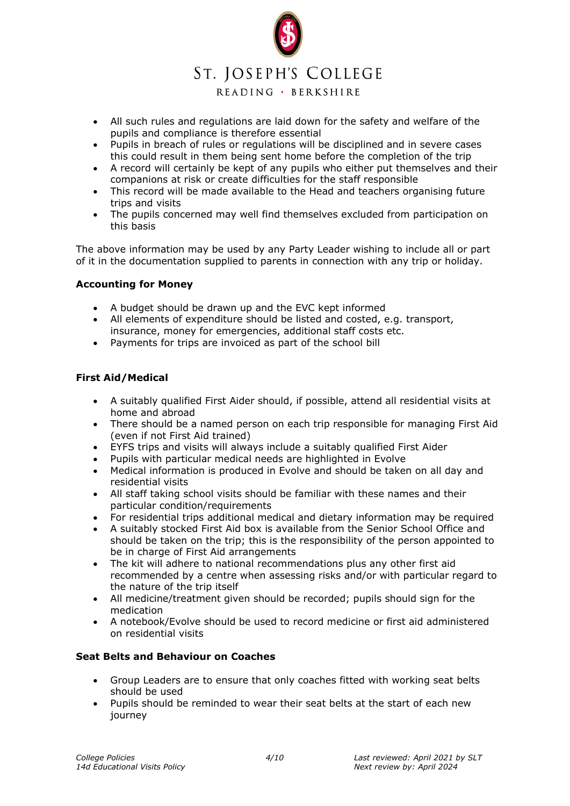# ST. JOSEPH'S COLLEGE

## READING · BERKSHIRE

- All such rules and regulations are laid down for the safety and welfare of the pupils and compliance is therefore essential
- Pupils in breach of rules or regulations will be disciplined and in severe cases this could result in them being sent home before the completion of the trip
- A record will certainly be kept of any pupils who either put themselves and their companions at risk or create difficulties for the staff responsible
- This record will be made available to the Head and teachers organising future trips and visits
- The pupils concerned may well find themselves excluded from participation on this basis

The above information may be used by any Party Leader wishing to include all or part of it in the documentation supplied to parents in connection with any trip or holiday.

### **Accounting for Money**

- A budget should be drawn up and the EVC kept informed
- All elements of expenditure should be listed and costed, e.g. transport, insurance, money for emergencies, additional staff costs etc.
- Payments for trips are invoiced as part of the school bill

### **First Aid/Medical**

- A suitably qualified First Aider should, if possible, attend all residential visits at home and abroad
- There should be a named person on each trip responsible for managing First Aid (even if not First Aid trained)
- EYFS trips and visits will always include a suitably qualified First Aider
- Pupils with particular medical needs are highlighted in Evolve
- Medical information is produced in Evolve and should be taken on all day and residential visits
- All staff taking school visits should be familiar with these names and their particular condition/requirements
- For residential trips additional medical and dietary information may be required
- A suitably stocked First Aid box is available from the Senior School Office and should be taken on the trip; this is the responsibility of the person appointed to be in charge of First Aid arrangements
- The kit will adhere to national recommendations plus any other first aid recommended by a centre when assessing risks and/or with particular regard to the nature of the trip itself
- All medicine/treatment given should be recorded; pupils should sign for the medication
- A notebook/Evolve should be used to record medicine or first aid administered on residential visits

#### **Seat Belts and Behaviour on Coaches**

- Group Leaders are to ensure that only coaches fitted with working seat belts should be used
- Pupils should be reminded to wear their seat belts at the start of each new journey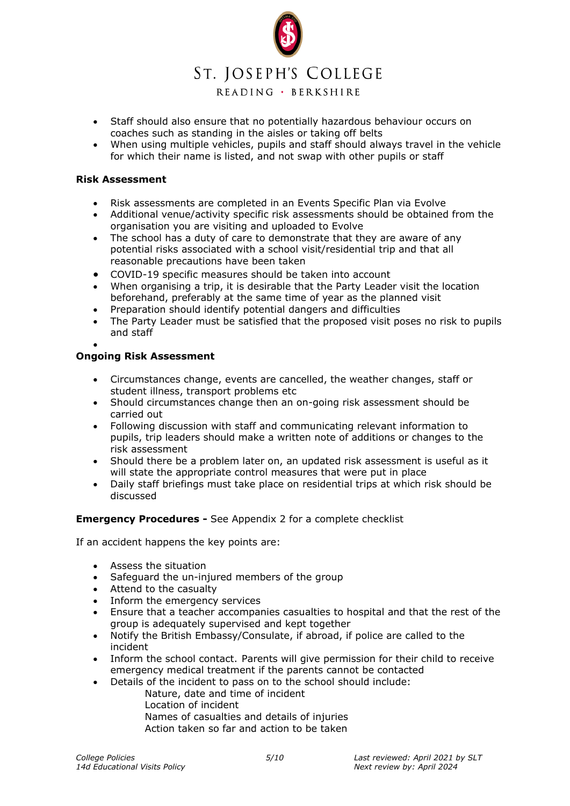## ST. JOSEPH'S COLLEGE

READING · BERKSHIRE

- Staff should also ensure that no potentially hazardous behaviour occurs on coaches such as standing in the aisles or taking off belts
- When using multiple vehicles, pupils and staff should always travel in the vehicle for which their name is listed, and not swap with other pupils or staff

### **Risk Assessment**

- Risk assessments are completed in an Events Specific Plan via Evolve
- Additional venue/activity specific risk assessments should be obtained from the organisation you are visiting and uploaded to Evolve
- The school has a duty of care to demonstrate that they are aware of any potential risks associated with a school visit/residential trip and that all reasonable precautions have been taken
- COVID-19 specific measures should be taken into account
- When organising a trip, it is desirable that the Party Leader visit the location beforehand, preferably at the same time of year as the planned visit
- Preparation should identify potential dangers and difficulties
- The Party Leader must be satisfied that the proposed visit poses no risk to pupils and staff
- •

### **Ongoing Risk Assessment**

- Circumstances change, events are cancelled, the weather changes, staff or student illness, transport problems etc
- Should circumstances change then an on-going risk assessment should be carried out
- Following discussion with staff and communicating relevant information to pupils, trip leaders should make a written note of additions or changes to the risk assessment
- Should there be a problem later on, an updated risk assessment is useful as it will state the appropriate control measures that were put in place
- Daily staff briefings must take place on residential trips at which risk should be discussed

#### **Emergency Procedures -** See Appendix 2 for a complete checklist

If an accident happens the key points are:

- Assess the situation
- Safeguard the un-injured members of the group
- Attend to the casualty
- Inform the emergency services
- Ensure that a teacher accompanies casualties to hospital and that the rest of the group is adequately supervised and kept together
- Notify the British Embassy/Consulate, if abroad, if police are called to the incident
- Inform the school contact. Parents will give permission for their child to receive emergency medical treatment if the parents cannot be contacted
- Details of the incident to pass on to the school should include:
	- Nature, date and time of incident
		- Location of incident
		- Names of casualties and details of injuries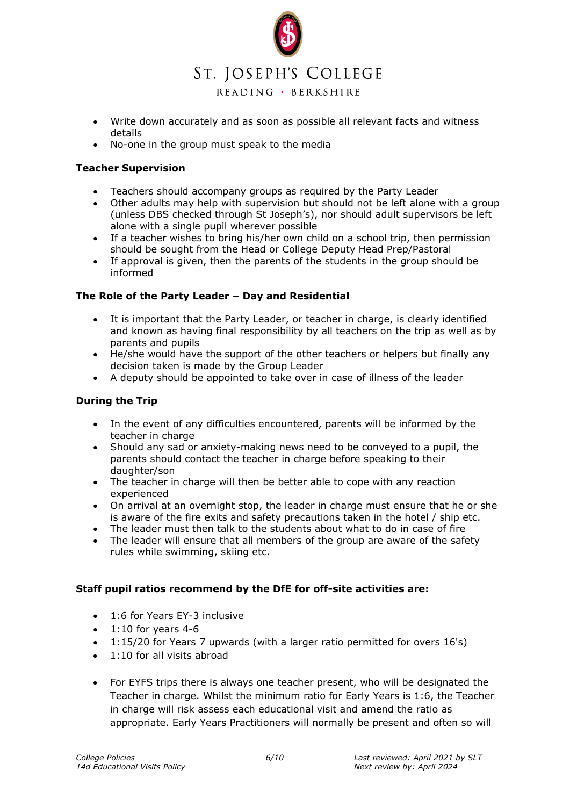

- Write down accurately and as soon as possible all relevant facts and witness details
- No-one in the group must speak to the media

### **Teacher Supervision**

- Teachers should accompany groups as required by the Party Leader
- Other adults may help with supervision but should not be left alone with a group (unless DBS checked through St Joseph's), nor should adult supervisors be left alone with a single pupil wherever possible
- If a teacher wishes to bring his/her own child on a school trip, then permission should be sought from the Head or College Deputy Head Prep/Pastoral
- If approval is given, then the parents of the students in the group should be informed

### **The Role of the Party Leader – Day and Residential**

- It is important that the Party Leader, or teacher in charge, is clearly identified and known as having final responsibility by all teachers on the trip as well as by parents and pupils
- He/she would have the support of the other teachers or helpers but finally any decision taken is made by the Group Leader
- A deputy should be appointed to take over in case of illness of the leader

## **During the Trip**

- In the event of any difficulties encountered, parents will be informed by the teacher in charge
- Should any sad or anxiety-making news need to be conveyed to a pupil, the parents should contact the teacher in charge before speaking to their daughter/son
- The teacher in charge will then be better able to cope with any reaction experienced
- On arrival at an overnight stop, the leader in charge must ensure that he or she is aware of the fire exits and safety precautions taken in the hotel / ship etc.
- The leader must then talk to the students about what to do in case of fire
- The leader will ensure that all members of the group are aware of the safety rules while swimming, skiing etc.

#### **Staff pupil ratios recommend by the DfE for off-site activities are:**

- 1:6 for Years EY-3 inclusive
- $\bullet$  1:10 for years 4-6
- 1:15/20 for Years 7 upwards (with a larger ratio permitted for overs 16's)
- 1:10 for all visits abroad
- For EYFS trips there is always one teacher present, who will be designated the Teacher in charge. Whilst the minimum ratio for Early Years is 1:6, the Teacher in charge will risk assess each educational visit and amend the ratio as appropriate. Early Years Practitioners will normally be present and often so will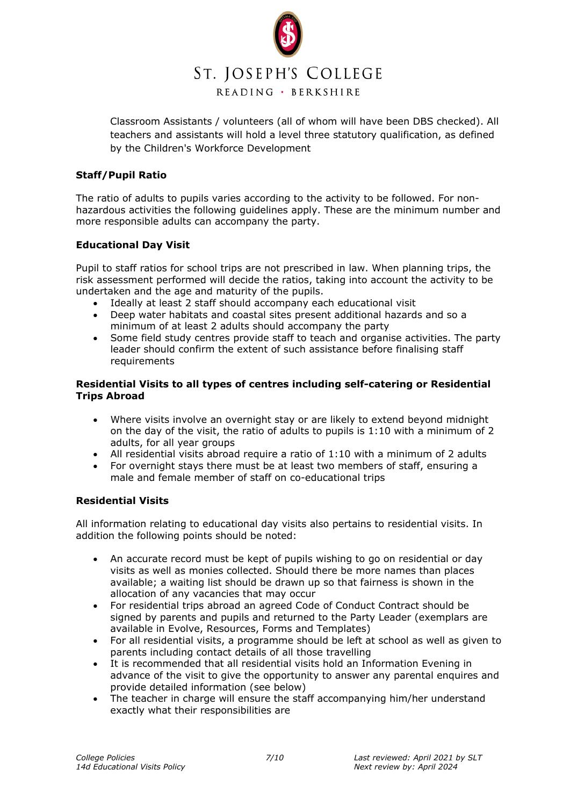

Classroom Assistants / volunteers (all of whom will have been DBS checked). All teachers and assistants will hold a level three statutory qualification, as defined by the Children's Workforce Development

### **Staff/Pupil Ratio**

The ratio of adults to pupils varies according to the activity to be followed. For nonhazardous activities the following guidelines apply. These are the minimum number and more responsible adults can accompany the party.

### **Educational Day Visit**

Pupil to staff ratios for school trips are not prescribed in law. When planning trips, the risk assessment performed will decide the ratios, taking into account the activity to be undertaken and the age and maturity of the pupils.

- Ideally at least 2 staff should accompany each educational visit
- Deep water habitats and coastal sites present additional hazards and so a minimum of at least 2 adults should accompany the party
- Some field study centres provide staff to teach and organise activities. The party leader should confirm the extent of such assistance before finalising staff requirements

### **Residential Visits to all types of centres including self-catering or Residential Trips Abroad**

- Where visits involve an overnight stay or are likely to extend beyond midnight on the day of the visit, the ratio of adults to pupils is 1:10 with a minimum of 2 adults, for all year groups
- All residential visits abroad require a ratio of 1:10 with a minimum of 2 adults
- For overnight stays there must be at least two members of staff, ensuring a male and female member of staff on co-educational trips

## **Residential Visits**

All information relating to educational day visits also pertains to residential visits. In addition the following points should be noted:

- An accurate record must be kept of pupils wishing to go on residential or day visits as well as monies collected. Should there be more names than places available; a waiting list should be drawn up so that fairness is shown in the allocation of any vacancies that may occur
- For residential trips abroad an agreed Code of Conduct Contract should be signed by parents and pupils and returned to the Party Leader (exemplars are available in Evolve, Resources, Forms and Templates)
- For all residential visits, a programme should be left at school as well as given to parents including contact details of all those travelling
- It is recommended that all residential visits hold an Information Evening in advance of the visit to give the opportunity to answer any parental enquires and provide detailed information (see below)
- The teacher in charge will ensure the staff accompanying him/her understand exactly what their responsibilities are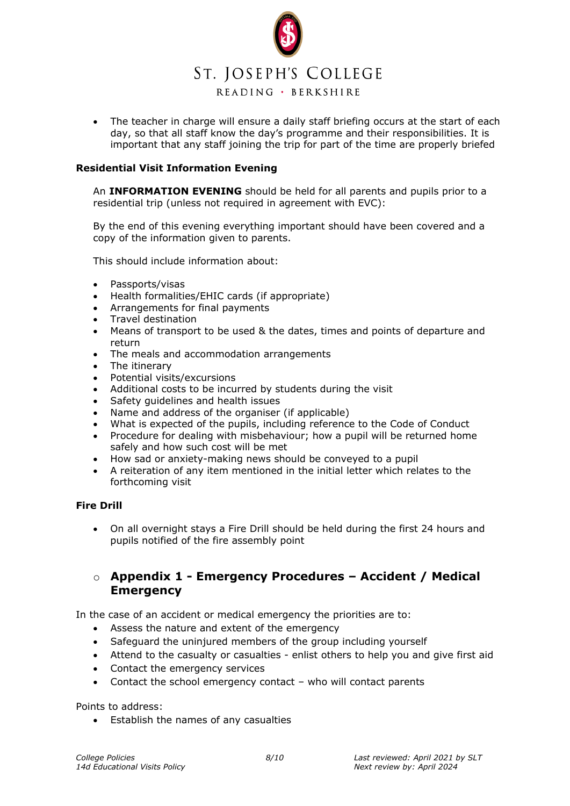

• The teacher in charge will ensure a daily staff briefing occurs at the start of each day, so that all staff know the day's programme and their responsibilities. It is important that any staff joining the trip for part of the time are properly briefed

### **Residential Visit Information Evening**

An **INFORMATION EVENING** should be held for all parents and pupils prior to a residential trip (unless not required in agreement with EVC):

By the end of this evening everything important should have been covered and a copy of the information given to parents.

This should include information about:

- Passports/visas
- Health formalities/EHIC cards (if appropriate)
- Arrangements for final payments
- Travel destination
- Means of transport to be used & the dates, times and points of departure and return
- The meals and accommodation arrangements
- The itinerary
- Potential visits/excursions
- Additional costs to be incurred by students during the visit
- Safety guidelines and health issues
- Name and address of the organiser (if applicable)
- What is expected of the pupils, including reference to the Code of Conduct
- Procedure for dealing with misbehaviour; how a pupil will be returned home safely and how such cost will be met
- How sad or anxiety-making news should be conveyed to a pupil
- A reiteration of any item mentioned in the initial letter which relates to the forthcoming visit

#### **Fire Drill**

• On all overnight stays a Fire Drill should be held during the first 24 hours and pupils notified of the fire assembly point

## o **Appendix 1 - Emergency Procedures – Accident / Medical Emergency**

In the case of an accident or medical emergency the priorities are to:

- Assess the nature and extent of the emergency
- Safeguard the uninjured members of the group including yourself
- Attend to the casualty or casualties enlist others to help you and give first aid
- Contact the emergency services
- Contact the school emergency contact who will contact parents

Points to address:

• Establish the names of any casualties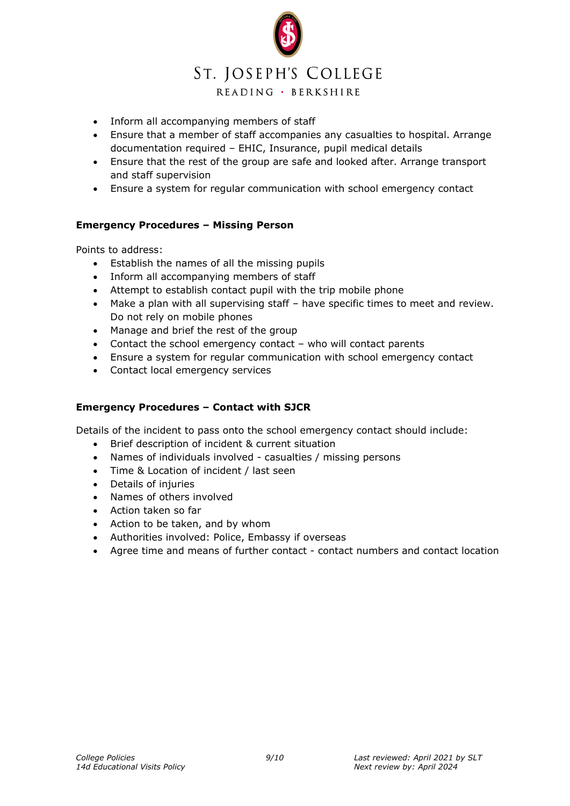

- Inform all accompanying members of staff
- Ensure that a member of staff accompanies any casualties to hospital. Arrange documentation required – EHIC, Insurance, pupil medical details
- Ensure that the rest of the group are safe and looked after. Arrange transport and staff supervision
- Ensure a system for regular communication with school emergency contact

## **Emergency Procedures – Missing Person**

Points to address:

- Establish the names of all the missing pupils
- Inform all accompanying members of staff
- Attempt to establish contact pupil with the trip mobile phone
- Make a plan with all supervising staff have specific times to meet and review. Do not rely on mobile phones
- Manage and brief the rest of the group
- Contact the school emergency contact who will contact parents
- Ensure a system for regular communication with school emergency contact
- Contact local emergency services

## **Emergency Procedures – Contact with SJCR**

Details of the incident to pass onto the school emergency contact should include:

- Brief description of incident & current situation
- Names of individuals involved casualties / missing persons
- Time & Location of incident / last seen
- Details of injuries
- Names of others involved
- Action taken so far
- Action to be taken, and by whom
- Authorities involved: Police, Embassy if overseas
- Agree time and means of further contact contact numbers and contact location